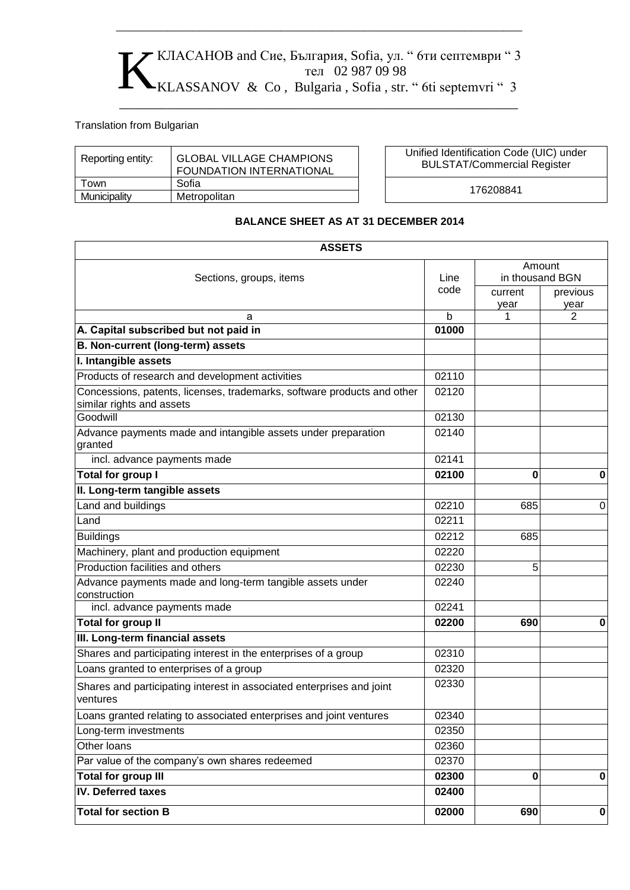

\_\_\_\_\_\_\_\_\_\_\_\_\_\_\_\_\_\_\_\_\_\_\_\_\_\_\_\_\_\_\_\_\_\_\_\_\_\_\_\_\_\_\_\_\_\_\_\_\_\_\_\_\_\_\_\_\_\_\_\_\_\_\_\_

Translation from Bulgarian

| Reporting entity: | <b>GLOBAL VILLAGE CHAMPIONS</b><br><b>FOUNDATION INTERNATIONAL</b> | Unified Identification Code (UIC) under<br><b>BULSTAT/Commercial Register</b> |
|-------------------|--------------------------------------------------------------------|-------------------------------------------------------------------------------|
| 「own              | Sofia                                                              |                                                                               |
| Municipality      | Metropolitan                                                       | 176208841                                                                     |

# **BALANCE SHEET AS AT 31 DECEMBER 2014**

| <b>ASSETS</b>                                                                                        |              |                                                  |             |
|------------------------------------------------------------------------------------------------------|--------------|--------------------------------------------------|-------------|
| Sections, groups, items                                                                              | Line<br>code | Amount<br>in thousand BGN<br>previous<br>current |             |
|                                                                                                      |              | year                                             | year        |
| a                                                                                                    | b            | 1                                                | 2           |
| A. Capital subscribed but not paid in                                                                | 01000        |                                                  |             |
| B. Non-current (long-term) assets                                                                    |              |                                                  |             |
| I. Intangible assets                                                                                 |              |                                                  |             |
| Products of research and development activities                                                      | 02110        |                                                  |             |
| Concessions, patents, licenses, trademarks, software products and other<br>similar rights and assets | 02120        |                                                  |             |
| Goodwill                                                                                             | 02130        |                                                  |             |
| Advance payments made and intangible assets under preparation<br>granted                             | 02140        |                                                  |             |
| incl. advance payments made                                                                          | 02141        |                                                  |             |
| <b>Total for group I</b>                                                                             | 02100        | 0                                                | $\mathbf 0$ |
| II. Long-term tangible assets                                                                        |              |                                                  |             |
| Land and buildings                                                                                   | 02210        | 685                                              | 0           |
| Land                                                                                                 | 02211        |                                                  |             |
| <b>Buildings</b>                                                                                     | 02212        | 685                                              |             |
| Machinery, plant and production equipment                                                            | 02220        |                                                  |             |
| Production facilities and others                                                                     | 02230        | 5                                                |             |
| Advance payments made and long-term tangible assets under<br>construction                            | 02240        |                                                  |             |
| incl. advance payments made                                                                          | 02241        |                                                  |             |
| <b>Total for group II</b>                                                                            | 02200        | 690                                              | $\mathbf 0$ |
| III. Long-term financial assets                                                                      |              |                                                  |             |
| Shares and participating interest in the enterprises of a group                                      | 02310        |                                                  |             |
| Loans granted to enterprises of a group                                                              | 02320        |                                                  |             |
| Shares and participating interest in associated enterprises and joint<br>ventures                    | 02330        |                                                  |             |
| Loans granted relating to associated enterprises and joint ventures                                  | 02340        |                                                  |             |
| Long-term investments                                                                                | 02350        |                                                  |             |
| Other loans                                                                                          | 02360        |                                                  |             |
| Par value of the company's own shares redeemed                                                       | 02370        |                                                  |             |
| <b>Total for group III</b>                                                                           | 02300        | 0                                                | $\bf{0}$    |
| <b>IV. Deferred taxes</b>                                                                            | 02400        |                                                  |             |
| <b>Total for section B</b>                                                                           | 02000        | 690                                              | $\bf{0}$    |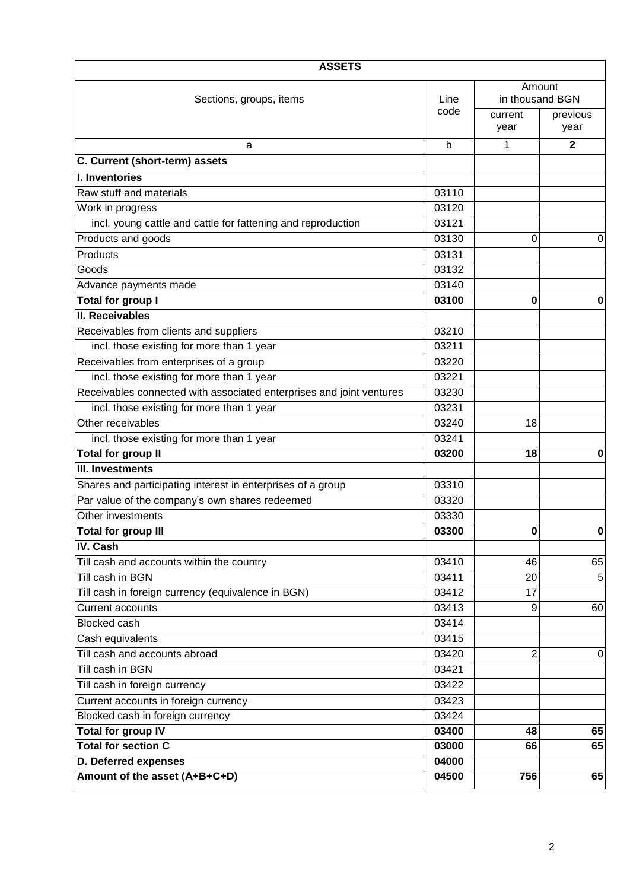| <b>ASSETS</b>                                                        |       |                 |              |
|----------------------------------------------------------------------|-------|-----------------|--------------|
|                                                                      |       | Amount          |              |
| Sections, groups, items                                              | Line  | in thousand BGN |              |
|                                                                      | code  | current         | previous     |
|                                                                      |       | year            | year         |
| a                                                                    | b     | 1               | $\mathbf{2}$ |
| C. Current (short-term) assets                                       |       |                 |              |
| I. Inventories                                                       |       |                 |              |
| Raw stuff and materials                                              | 03110 |                 |              |
| Work in progress                                                     | 03120 |                 |              |
| incl. young cattle and cattle for fattening and reproduction         | 03121 |                 |              |
| Products and goods                                                   | 03130 | 0               | 0            |
| Products                                                             | 03131 |                 |              |
| Goods                                                                | 03132 |                 |              |
| Advance payments made                                                | 03140 |                 |              |
| <b>Total for group I</b>                                             | 03100 | 0               | 0            |
| <b>II. Receivables</b>                                               |       |                 |              |
| Receivables from clients and suppliers                               | 03210 |                 |              |
| incl. those existing for more than 1 year                            | 03211 |                 |              |
| Receivables from enterprises of a group                              | 03220 |                 |              |
| incl. those existing for more than 1 year                            | 03221 |                 |              |
| Receivables connected with associated enterprises and joint ventures | 03230 |                 |              |
| incl. those existing for more than 1 year                            | 03231 |                 |              |
| Other receivables                                                    | 03240 | 18              |              |
| incl. those existing for more than 1 year                            | 03241 |                 |              |
| <b>Total for group II</b>                                            | 03200 | 18              | 0            |
| <b>III. Investments</b>                                              |       |                 |              |
| Shares and participating interest in enterprises of a group          | 03310 |                 |              |
| Par value of the company's own shares redeemed                       | 03320 |                 |              |
| Other investments                                                    | 03330 |                 |              |
| <b>Total for group III</b>                                           | 03300 | 0               | $\bf{0}$     |
| IV. Cash                                                             |       |                 |              |
| Till cash and accounts within the country                            | 03410 | 46              | 65           |
| Till cash in BGN                                                     | 03411 | 20              | 5            |
| Till cash in foreign currency (equivalence in BGN)                   | 03412 | 17              |              |
| <b>Current accounts</b>                                              | 03413 | 9               | 60           |
| <b>Blocked cash</b>                                                  | 03414 |                 |              |
| Cash equivalents                                                     | 03415 |                 |              |
| Till cash and accounts abroad                                        | 03420 | $\overline{2}$  | 0            |
| Till cash in BGN                                                     | 03421 |                 |              |
| Till cash in foreign currency                                        | 03422 |                 |              |
| Current accounts in foreign currency                                 | 03423 |                 |              |
| Blocked cash in foreign currency                                     | 03424 |                 |              |
| <b>Total for group IV</b>                                            | 03400 | 48              | 65           |
| <b>Total for section C</b>                                           | 03000 | 66              | 65           |
| <b>D. Deferred expenses</b>                                          | 04000 |                 |              |
| Amount of the asset (A+B+C+D)                                        | 04500 | 756             | 65           |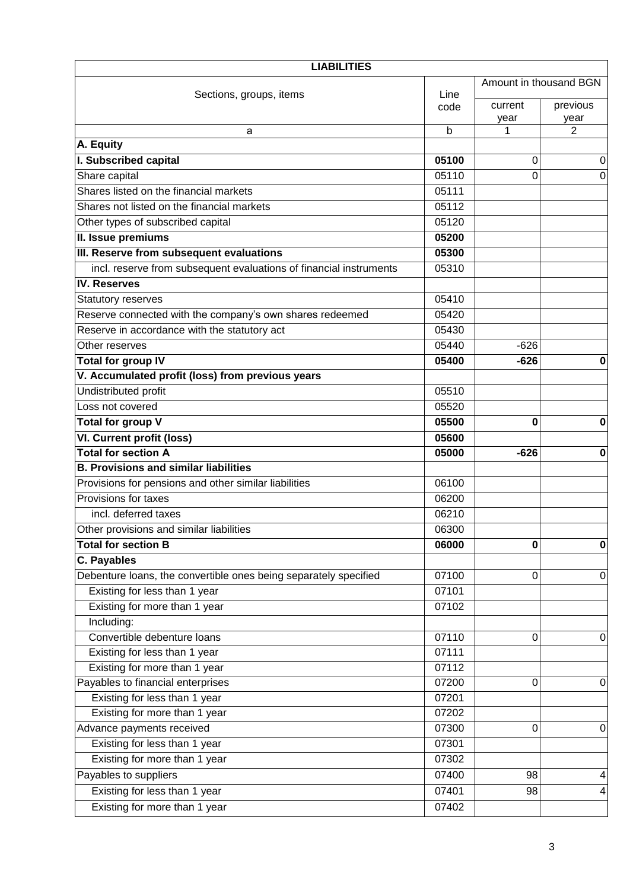| <b>LIABILITIES</b>                                                 |       |                        |                  |
|--------------------------------------------------------------------|-------|------------------------|------------------|
| Sections, groups, items                                            | Line  | Amount in thousand BGN |                  |
|                                                                    | code  | current<br>year        | previous<br>year |
| a                                                                  | b     | 1                      | 2                |
| A. Equity                                                          |       |                        |                  |
| I. Subscribed capital                                              | 05100 | 0                      | 0                |
| Share capital                                                      | 05110 | 0                      | $\mathbf 0$      |
| Shares listed on the financial markets                             | 05111 |                        |                  |
| Shares not listed on the financial markets                         | 05112 |                        |                  |
| Other types of subscribed capital                                  | 05120 |                        |                  |
| II. Issue premiums                                                 | 05200 |                        |                  |
| III. Reserve from subsequent evaluations                           | 05300 |                        |                  |
| incl. reserve from subsequent evaluations of financial instruments | 05310 |                        |                  |
| <b>IV. Reserves</b>                                                |       |                        |                  |
| Statutory reserves                                                 | 05410 |                        |                  |
| Reserve connected with the company's own shares redeemed           | 05420 |                        |                  |
| Reserve in accordance with the statutory act                       | 05430 |                        |                  |
| Other reserves                                                     | 05440 | $-626$                 |                  |
| <b>Total for group IV</b>                                          | 05400 | $-626$                 | $\bf{0}$         |
| V. Accumulated profit (loss) from previous years                   |       |                        |                  |
| Undistributed profit                                               | 05510 |                        |                  |
| Loss not covered                                                   | 05520 |                        |                  |
| Total for group V                                                  | 05500 | 0                      | $\bf{0}$         |
| VI. Current profit (loss)                                          | 05600 |                        |                  |
| <b>Total for section A</b>                                         | 05000 | $-626$                 | $\bf{0}$         |
| <b>B. Provisions and similar liabilities</b>                       |       |                        |                  |
| Provisions for pensions and other similar liabilities              | 06100 |                        |                  |
| Provisions for taxes                                               | 06200 |                        |                  |
| incl. deferred taxes                                               | 06210 |                        |                  |
| Other provisions and similar liabilities                           | 06300 |                        |                  |
| <b>Total for section B</b>                                         | 06000 | 0                      | $\bf{0}$         |
| <b>C. Payables</b>                                                 |       |                        |                  |
| Debenture loans, the convertible ones being separately specified   | 07100 | 0                      | 0                |
| Existing for less than 1 year                                      | 07101 |                        |                  |
| Existing for more than 1 year                                      | 07102 |                        |                  |
| Including:                                                         |       |                        |                  |
| Convertible debenture loans                                        | 07110 | 0                      | 0                |
| Existing for less than 1 year                                      | 07111 |                        |                  |
| Existing for more than 1 year                                      | 07112 |                        |                  |
| Payables to financial enterprises                                  | 07200 | 0                      | 0                |
| Existing for less than 1 year                                      | 07201 |                        |                  |
| Existing for more than 1 year                                      | 07202 |                        |                  |
| Advance payments received                                          | 07300 | $\mathbf 0$            | $\mathbf 0$      |
| Existing for less than 1 year                                      | 07301 |                        |                  |
| Existing for more than 1 year                                      | 07302 |                        |                  |
| Payables to suppliers                                              | 07400 | 98                     | 4                |
| Existing for less than 1 year                                      | 07401 | 98                     | 4                |
| Existing for more than 1 year                                      | 07402 |                        |                  |
|                                                                    |       |                        |                  |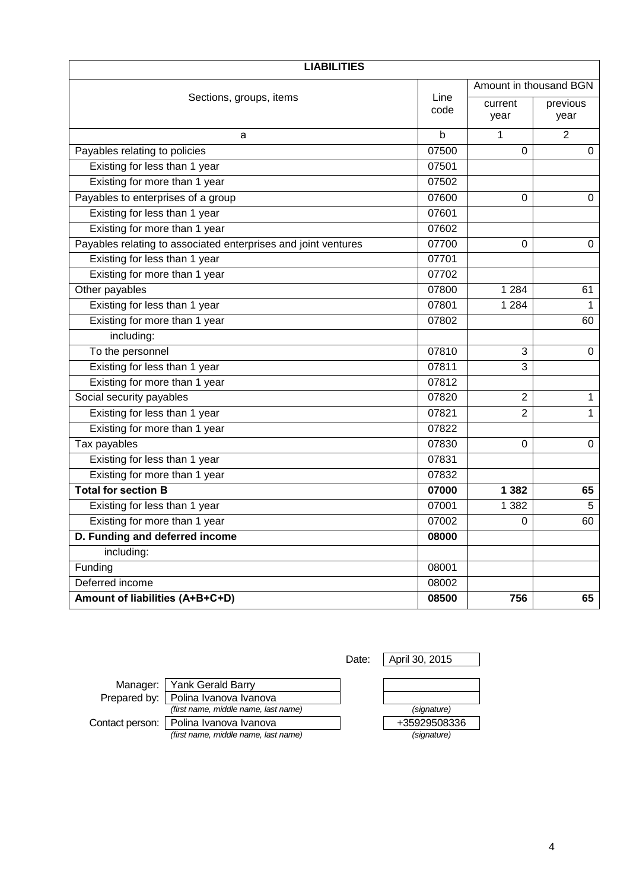| <b>LIABILITIES</b>                                             |              |                        |                  |
|----------------------------------------------------------------|--------------|------------------------|------------------|
|                                                                |              | Amount in thousand BGN |                  |
| Sections, groups, items                                        | Line<br>code | current<br>year        | previous<br>year |
| a                                                              | b            | 1                      | $\overline{2}$   |
| Payables relating to policies                                  | 07500        | 0                      | 0                |
| Existing for less than 1 year                                  | 07501        |                        |                  |
| Existing for more than 1 year                                  | 07502        |                        |                  |
| Payables to enterprises of a group                             | 07600        | 0                      | 0                |
| Existing for less than 1 year                                  | 07601        |                        |                  |
| Existing for more than 1 year                                  | 07602        |                        |                  |
| Payables relating to associated enterprises and joint ventures | 07700        | 0                      | 0                |
| Existing for less than 1 year                                  | 07701        |                        |                  |
| Existing for more than 1 year                                  | 07702        |                        |                  |
| Other payables                                                 | 07800        | 1 2 8 4                | 61               |
| Existing for less than 1 year                                  | 07801        | 1 2 8 4                | 1                |
| Existing for more than 1 year                                  | 07802        |                        | 60               |
| including:                                                     |              |                        |                  |
| To the personnel                                               | 07810        | 3                      | 0                |
| Existing for less than 1 year                                  | 07811        | 3                      |                  |
| Existing for more than 1 year                                  | 07812        |                        |                  |
| Social security payables                                       | 07820        | $\overline{2}$         | 1                |
| Existing for less than 1 year                                  | 07821        | 2                      | 1                |
| Existing for more than 1 year                                  | 07822        |                        |                  |
| Tax payables                                                   | 07830        | 0                      | 0                |
| Existing for less than 1 year                                  | 07831        |                        |                  |
| Existing for more than 1 year                                  | 07832        |                        |                  |
| <b>Total for section B</b>                                     | 07000        | 1 3 8 2                | 65               |
| Existing for less than 1 year                                  | 07001        | 1 3 8 2                | 5                |
| Existing for more than 1 year                                  | 07002        | 0                      | 60               |
| D. Funding and deferred income                                 | 08000        |                        |                  |
| including:                                                     |              |                        |                  |
| Funding                                                        | 08001        |                        |                  |
| Deferred income                                                | 08002        |                        |                  |
| Amount of liabilities (A+B+C+D)                                | 08500        | 756                    | 65               |

| Manager:   Yank Gerald Barry             |              |
|------------------------------------------|--------------|
| Prepared by:   Polina Ivanova Ivanova    |              |
| (first name, middle name, last name)     | (signature)  |
| Contact person:   Polina Ivanova Ivanova | +35929508336 |
| (first name, middle name, last name)     | (signature)  |
|                                          |              |

Date: April 30, 2015

*(first name, middle name, last name) (signature)*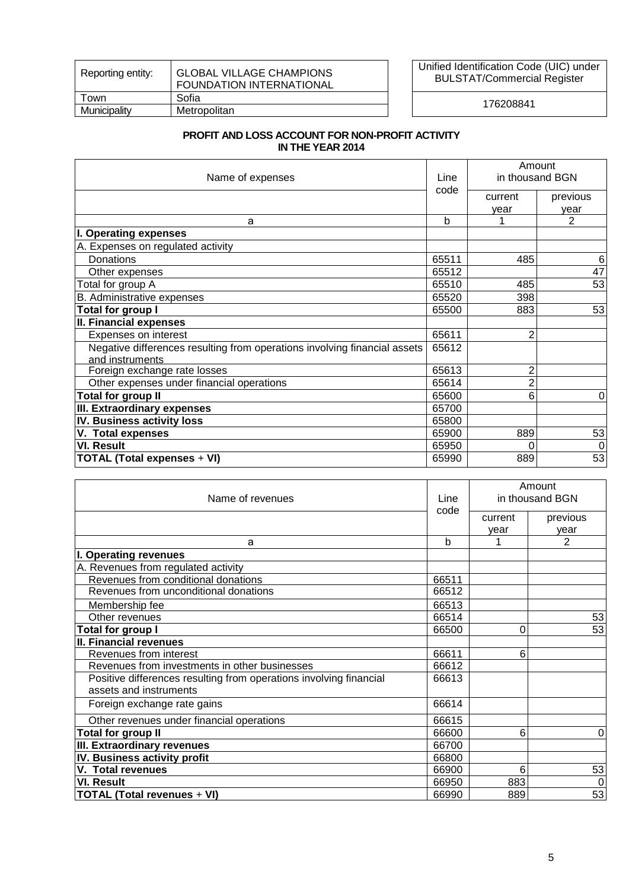| Reporting entity: | <b>GLOBAL VILLAGE CHAMPIONS</b><br><b>FOUNDATION INTERNATIONAL</b> | Unified Identification Code (UIC) under<br><b>BULSTAT/Commercial Register</b> |
|-------------------|--------------------------------------------------------------------|-------------------------------------------------------------------------------|
| own               | Sofia                                                              | 176208841                                                                     |
| Municipality      | Metropolitan                                                       |                                                                               |

# **PROFIT AND LOSS ACCOUNT FOR NON-PROFIT ACTIVITY IN THE YEAR 2014**

| Name of expenses                                                          | Line  | Amount<br>in thousand BGN |          |
|---------------------------------------------------------------------------|-------|---------------------------|----------|
|                                                                           | code  | current                   | previous |
|                                                                           |       |                           |          |
|                                                                           |       | year                      | year     |
| a                                                                         | b     |                           | 2        |
| I. Operating expenses                                                     |       |                           |          |
| A. Expenses on regulated activity                                         |       |                           |          |
| Donations                                                                 | 65511 | 485                       | 6        |
| Other expenses                                                            | 65512 |                           | 47       |
| Total for group A                                                         | 65510 | 485                       | 53       |
| B. Administrative expenses                                                | 65520 | 398                       |          |
| <b>Total for group I</b>                                                  | 65500 | 883                       | 53       |
| <b>II. Financial expenses</b>                                             |       |                           |          |
| Expenses on interest                                                      | 65611 | $\overline{2}$            |          |
| Negative differences resulting from operations involving financial assets | 65612 |                           |          |
| and instruments                                                           |       |                           |          |
| Foreign exchange rate losses                                              | 65613 | 2                         |          |
| Other expenses under financial operations                                 | 65614 | $\overline{c}$            |          |
| Total for group II                                                        | 65600 | 6                         | 0        |
| <b>III. Extraordinary expenses</b>                                        | 65700 |                           |          |
| <b>IV. Business activity loss</b>                                         | 65800 |                           |          |
| V. Total expenses                                                         | 65900 | 889                       | 53       |
| <b>VI. Result</b>                                                         | 65950 | 0                         | $\Omega$ |
| <b>TOTAL (Total expenses + VI)</b>                                        | 65990 | 889                       | 53       |

| Name of revenues                                                   | Line  | Amount<br>in thousand BGN |              |
|--------------------------------------------------------------------|-------|---------------------------|--------------|
|                                                                    | code  | current                   | previous     |
|                                                                    |       | year                      | vear         |
| a                                                                  | b     | 1                         | 2            |
| I. Operating revenues                                              |       |                           |              |
| A. Revenues from regulated activity                                |       |                           |              |
| Revenues from conditional donations                                | 66511 |                           |              |
| Revenues from unconditional donations                              | 66512 |                           |              |
| Membership fee                                                     | 66513 |                           |              |
| Other revenues                                                     | 66514 |                           | 53           |
| Total for group I                                                  | 66500 | 0                         | 53           |
| II. Financial revenues                                             |       |                           |              |
| Revenues from interest                                             | 66611 | 6                         |              |
| Revenues from investments in other businesses                      | 66612 |                           |              |
| Positive differences resulting from operations involving financial | 66613 |                           |              |
| assets and instruments                                             |       |                           |              |
| Foreign exchange rate gains                                        | 66614 |                           |              |
| Other revenues under financial operations                          | 66615 |                           |              |
| <b>Total for group II</b>                                          | 66600 | 6                         | 0            |
| <b>III. Extraordinary revenues</b>                                 | 66700 |                           |              |
| IV. Business activity profit                                       | 66800 |                           |              |
| V. Total revenues                                                  | 66900 | 6                         | 53           |
| <b>VI. Result</b>                                                  | 66950 | 883                       | $\mathbf{0}$ |
| <b>TOTAL (Total revenues + VI)</b>                                 | 66990 | 889                       | 53           |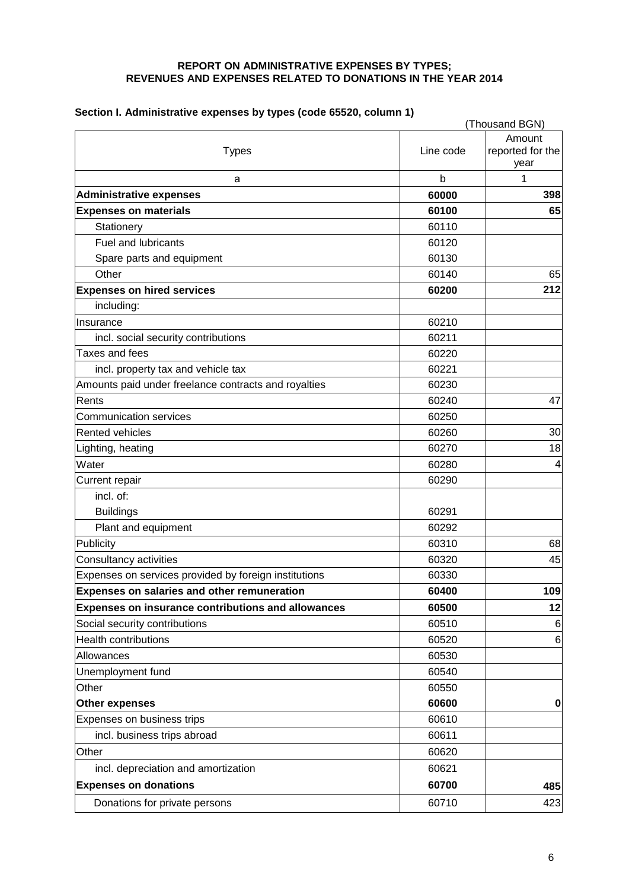# **REPORT ON ADMINISTRATIVE EXPENSES BY TYPES; REVENUES AND EXPENSES RELATED TO DONATIONS IN THE YEAR 2014**

|                                                           |           | (Thousand BGN)                     |
|-----------------------------------------------------------|-----------|------------------------------------|
| <b>Types</b>                                              | Line code | Amount<br>reported for the<br>year |
| a                                                         | b         | 1                                  |
| <b>Administrative expenses</b>                            | 60000     | 398                                |
| <b>Expenses on materials</b>                              | 60100     | 65                                 |
| Stationery                                                | 60110     |                                    |
| Fuel and lubricants                                       | 60120     |                                    |
| Spare parts and equipment                                 | 60130     |                                    |
| Other                                                     | 60140     | 65                                 |
| <b>Expenses on hired services</b>                         | 60200     | 212                                |
| including:                                                |           |                                    |
| Insurance                                                 | 60210     |                                    |
| incl. social security contributions                       | 60211     |                                    |
| Taxes and fees                                            | 60220     |                                    |
| incl. property tax and vehicle tax                        | 60221     |                                    |
| Amounts paid under freelance contracts and royalties      | 60230     |                                    |
| Rents                                                     | 60240     | 47                                 |
| <b>Communication services</b>                             | 60250     |                                    |
| Rented vehicles                                           | 60260     | 30                                 |
| Lighting, heating                                         | 60270     | 18                                 |
| Water                                                     | 60280     | 4                                  |
| Current repair                                            | 60290     |                                    |
| incl. of:                                                 |           |                                    |
| <b>Buildings</b>                                          | 60291     |                                    |
| Plant and equipment                                       | 60292     |                                    |
| Publicity                                                 | 60310     | 68                                 |
| Consultancy activities                                    | 60320     | 45                                 |
| Expenses on services provided by foreign institutions     | 60330     |                                    |
| Expenses on salaries and other remuneration               | 60400     | 109                                |
| <b>Expenses on insurance contributions and allowances</b> | 60500     | 12                                 |
| Social security contributions                             | 60510     | 6                                  |
| <b>Health contributions</b>                               | 60520     | 6                                  |
| Allowances                                                | 60530     |                                    |
| Unemployment fund                                         | 60540     |                                    |
| Other                                                     | 60550     |                                    |
| Other expenses                                            | 60600     | 0                                  |
| Expenses on business trips                                | 60610     |                                    |
| incl. business trips abroad                               | 60611     |                                    |
| Other                                                     | 60620     |                                    |
| incl. depreciation and amortization                       | 60621     |                                    |
| <b>Expenses on donations</b>                              | 60700     | 485                                |
| Donations for private persons                             | 60710     | 423                                |

# **Section I. Administrative expenses by types (code 65520, column 1)**